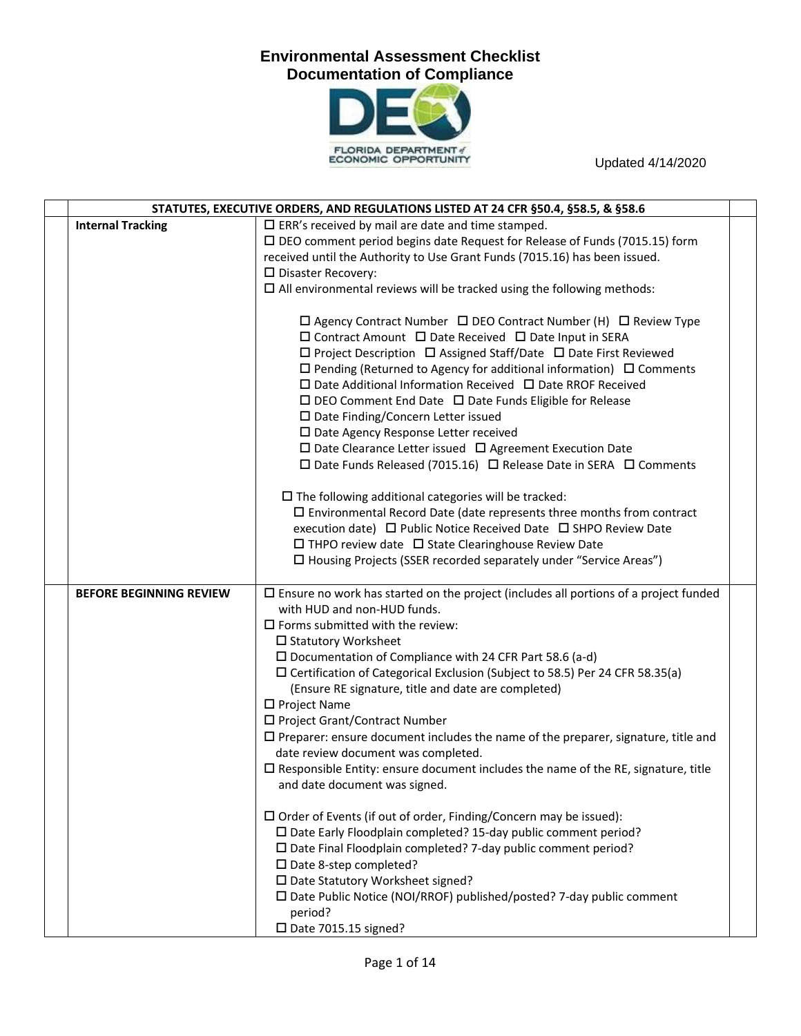

Updated 4/14/2020

|                                | STATUTES, EXECUTIVE ORDERS, AND REGULATIONS LISTED AT 24 CFR §50.4, §58.5, & §58.6                                                                                                                                                                                                                                                                                                                                                                                                                                                                                                                                                                                                                                                                                                                                                                                                                                                                                                                                                                                                                                                              |  |
|--------------------------------|-------------------------------------------------------------------------------------------------------------------------------------------------------------------------------------------------------------------------------------------------------------------------------------------------------------------------------------------------------------------------------------------------------------------------------------------------------------------------------------------------------------------------------------------------------------------------------------------------------------------------------------------------------------------------------------------------------------------------------------------------------------------------------------------------------------------------------------------------------------------------------------------------------------------------------------------------------------------------------------------------------------------------------------------------------------------------------------------------------------------------------------------------|--|
| <b>Internal Tracking</b>       | $\square$ ERR's received by mail are date and time stamped.                                                                                                                                                                                                                                                                                                                                                                                                                                                                                                                                                                                                                                                                                                                                                                                                                                                                                                                                                                                                                                                                                     |  |
|                                | $\square$ DEO comment period begins date Request for Release of Funds (7015.15) form                                                                                                                                                                                                                                                                                                                                                                                                                                                                                                                                                                                                                                                                                                                                                                                                                                                                                                                                                                                                                                                            |  |
|                                | received until the Authority to Use Grant Funds (7015.16) has been issued.                                                                                                                                                                                                                                                                                                                                                                                                                                                                                                                                                                                                                                                                                                                                                                                                                                                                                                                                                                                                                                                                      |  |
|                                | □ Disaster Recovery:                                                                                                                                                                                                                                                                                                                                                                                                                                                                                                                                                                                                                                                                                                                                                                                                                                                                                                                                                                                                                                                                                                                            |  |
|                                | $\square$ All environmental reviews will be tracked using the following methods:                                                                                                                                                                                                                                                                                                                                                                                                                                                                                                                                                                                                                                                                                                                                                                                                                                                                                                                                                                                                                                                                |  |
|                                | $\Box$ Agency Contract Number $\Box$ DEO Contract Number (H) $\Box$ Review Type<br>$\Box$ Contract Amount $\Box$ Date Received $\Box$ Date Input in SERA<br>$\square$ Project Description $\square$ Assigned Staff/Date $\square$ Date First Reviewed<br>$\Box$ Pending (Returned to Agency for additional information) $\Box$ Comments<br>$\square$ Date Additional Information Received $\square$ Date RROF Received<br>$\Box$ DEO Comment End Date $\Box$ Date Funds Eligible for Release<br>$\square$ Date Finding/Concern Letter issued<br>$\square$ Date Agency Response Letter received<br>$\square$ Date Clearance Letter issued $\square$ Agreement Execution Date<br>$\square$ Date Funds Released (7015.16) $\square$ Release Date in SERA $\square$ Comments<br>$\Box$ The following additional categories will be tracked:<br>$\square$ Environmental Record Date (date represents three months from contract<br>execution date) □ Public Notice Received Date □ SHPO Review Date<br>$\Box$ THPO review date $\Box$ State Clearinghouse Review Date<br>$\square$ Housing Projects (SSER recorded separately under "Service Areas") |  |
| <b>BEFORE BEGINNING REVIEW</b> | $\square$ Ensure no work has started on the project (includes all portions of a project funded                                                                                                                                                                                                                                                                                                                                                                                                                                                                                                                                                                                                                                                                                                                                                                                                                                                                                                                                                                                                                                                  |  |
|                                | with HUD and non-HUD funds.                                                                                                                                                                                                                                                                                                                                                                                                                                                                                                                                                                                                                                                                                                                                                                                                                                                                                                                                                                                                                                                                                                                     |  |
|                                | $\square$ Forms submitted with the review:                                                                                                                                                                                                                                                                                                                                                                                                                                                                                                                                                                                                                                                                                                                                                                                                                                                                                                                                                                                                                                                                                                      |  |
|                                | □ Statutory Worksheet                                                                                                                                                                                                                                                                                                                                                                                                                                                                                                                                                                                                                                                                                                                                                                                                                                                                                                                                                                                                                                                                                                                           |  |
|                                | $\square$ Documentation of Compliance with 24 CFR Part 58.6 (a-d)<br>$\square$ Certification of Categorical Exclusion (Subject to 58.5) Per 24 CFR 58.35(a)                                                                                                                                                                                                                                                                                                                                                                                                                                                                                                                                                                                                                                                                                                                                                                                                                                                                                                                                                                                     |  |
|                                | (Ensure RE signature, title and date are completed)                                                                                                                                                                                                                                                                                                                                                                                                                                                                                                                                                                                                                                                                                                                                                                                                                                                                                                                                                                                                                                                                                             |  |
|                                | $\square$ Project Name                                                                                                                                                                                                                                                                                                                                                                                                                                                                                                                                                                                                                                                                                                                                                                                                                                                                                                                                                                                                                                                                                                                          |  |
|                                | □ Project Grant/Contract Number                                                                                                                                                                                                                                                                                                                                                                                                                                                                                                                                                                                                                                                                                                                                                                                                                                                                                                                                                                                                                                                                                                                 |  |
|                                | $\square$ Preparer: ensure document includes the name of the preparer, signature, title and                                                                                                                                                                                                                                                                                                                                                                                                                                                                                                                                                                                                                                                                                                                                                                                                                                                                                                                                                                                                                                                     |  |
|                                | date review document was completed.                                                                                                                                                                                                                                                                                                                                                                                                                                                                                                                                                                                                                                                                                                                                                                                                                                                                                                                                                                                                                                                                                                             |  |
|                                | $\square$ Responsible Entity: ensure document includes the name of the RE, signature, title<br>and date document was signed.                                                                                                                                                                                                                                                                                                                                                                                                                                                                                                                                                                                                                                                                                                                                                                                                                                                                                                                                                                                                                    |  |
|                                | $\Box$ Order of Events (if out of order, Finding/Concern may be issued):                                                                                                                                                                                                                                                                                                                                                                                                                                                                                                                                                                                                                                                                                                                                                                                                                                                                                                                                                                                                                                                                        |  |
|                                | $\square$ Date Early Floodplain completed? 15-day public comment period?                                                                                                                                                                                                                                                                                                                                                                                                                                                                                                                                                                                                                                                                                                                                                                                                                                                                                                                                                                                                                                                                        |  |
|                                | □ Date Final Floodplain completed? 7-day public comment period?                                                                                                                                                                                                                                                                                                                                                                                                                                                                                                                                                                                                                                                                                                                                                                                                                                                                                                                                                                                                                                                                                 |  |
|                                | □ Date 8-step completed?                                                                                                                                                                                                                                                                                                                                                                                                                                                                                                                                                                                                                                                                                                                                                                                                                                                                                                                                                                                                                                                                                                                        |  |
|                                | □ Date Statutory Worksheet signed?                                                                                                                                                                                                                                                                                                                                                                                                                                                                                                                                                                                                                                                                                                                                                                                                                                                                                                                                                                                                                                                                                                              |  |
|                                | □ Date Public Notice (NOI/RROF) published/posted? 7-day public comment<br>period?                                                                                                                                                                                                                                                                                                                                                                                                                                                                                                                                                                                                                                                                                                                                                                                                                                                                                                                                                                                                                                                               |  |
|                                | □ Date 7015.15 signed?                                                                                                                                                                                                                                                                                                                                                                                                                                                                                                                                                                                                                                                                                                                                                                                                                                                                                                                                                                                                                                                                                                                          |  |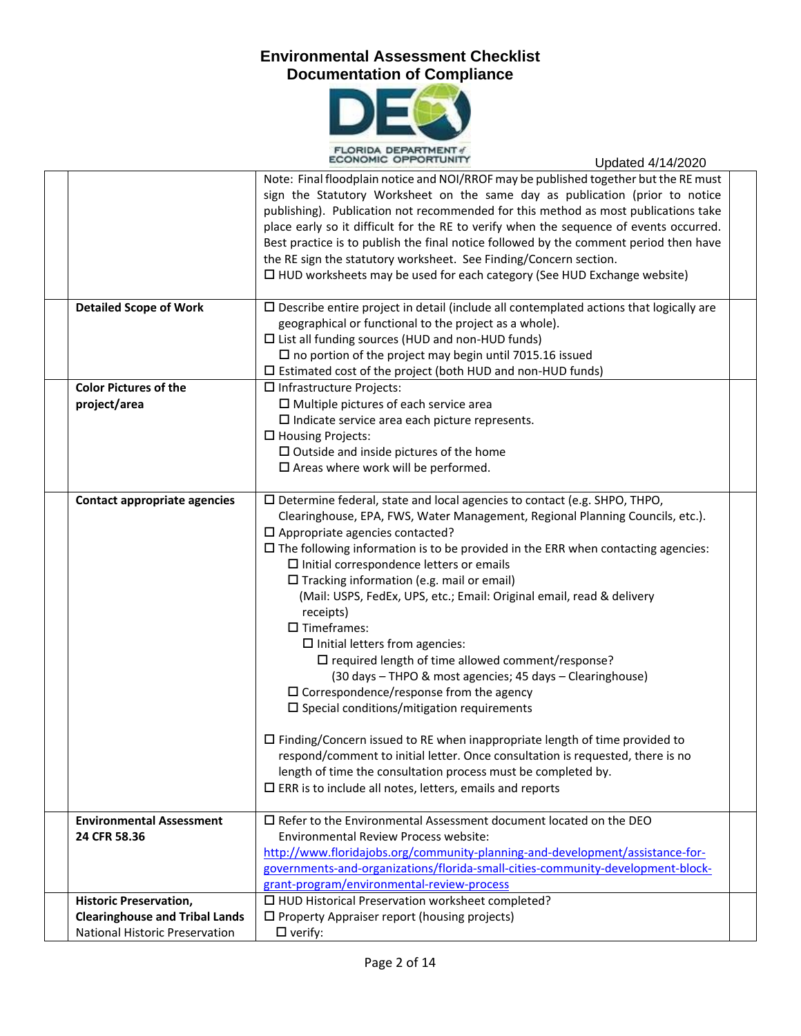

|                                       | ECONOMIC OPPORTUNITY                                                                             | Updated 4/14/2020 |
|---------------------------------------|--------------------------------------------------------------------------------------------------|-------------------|
|                                       | Note: Final floodplain notice and NOI/RROF may be published together but the RE must             |                   |
|                                       | sign the Statutory Worksheet on the same day as publication (prior to notice                     |                   |
|                                       | publishing). Publication not recommended for this method as most publications take               |                   |
|                                       | place early so it difficult for the RE to verify when the sequence of events occurred.           |                   |
|                                       | Best practice is to publish the final notice followed by the comment period then have            |                   |
|                                       | the RE sign the statutory worksheet. See Finding/Concern section.                                |                   |
|                                       | $\Box$ HUD worksheets may be used for each category (See HUD Exchange website)                   |                   |
|                                       |                                                                                                  |                   |
| <b>Detailed Scope of Work</b>         | $\square$ Describe entire project in detail (include all contemplated actions that logically are |                   |
|                                       | geographical or functional to the project as a whole).                                           |                   |
|                                       | $\Box$ List all funding sources (HUD and non-HUD funds)                                          |                   |
|                                       | $\square$ no portion of the project may begin until 7015.16 issued                               |                   |
|                                       | $\square$ Estimated cost of the project (both HUD and non-HUD funds)                             |                   |
| <b>Color Pictures of the</b>          |                                                                                                  |                   |
|                                       | $\Box$ Infrastructure Projects:                                                                  |                   |
| project/area                          | $\square$ Multiple pictures of each service area                                                 |                   |
|                                       | $\square$ Indicate service area each picture represents.                                         |                   |
|                                       | $\Box$ Housing Projects:                                                                         |                   |
|                                       | $\square$ Outside and inside pictures of the home                                                |                   |
|                                       | $\square$ Areas where work will be performed.                                                    |                   |
|                                       |                                                                                                  |                   |
| <b>Contact appropriate agencies</b>   | $\square$ Determine federal, state and local agencies to contact (e.g. SHPO, THPO,               |                   |
|                                       | Clearinghouse, EPA, FWS, Water Management, Regional Planning Councils, etc.).                    |                   |
|                                       | $\square$ Appropriate agencies contacted?                                                        |                   |
|                                       | $\square$ The following information is to be provided in the ERR when contacting agencies:       |                   |
|                                       | $\square$ Initial correspondence letters or emails                                               |                   |
|                                       | $\square$ Tracking information (e.g. mail or email)                                              |                   |
|                                       | (Mail: USPS, FedEx, UPS, etc.; Email: Original email, read & delivery                            |                   |
|                                       |                                                                                                  |                   |
|                                       | receipts)                                                                                        |                   |
|                                       | $\square$ Timeframes:                                                                            |                   |
|                                       | $\square$ Initial letters from agencies:                                                         |                   |
|                                       | $\square$ required length of time allowed comment/response?                                      |                   |
|                                       | (30 days - THPO & most agencies; 45 days - Clearinghouse)                                        |                   |
|                                       | $\square$ Correspondence/response from the agency                                                |                   |
|                                       | $\square$ Special conditions/mitigation requirements                                             |                   |
|                                       |                                                                                                  |                   |
|                                       | $\Box$ Finding/Concern issued to RE when inappropriate length of time provided to                |                   |
|                                       | respond/comment to initial letter. Once consultation is requested, there is no                   |                   |
|                                       | length of time the consultation process must be completed by.                                    |                   |
|                                       | $\Box$ ERR is to include all notes, letters, emails and reports                                  |                   |
|                                       |                                                                                                  |                   |
| <b>Environmental Assessment</b>       | $\Box$ Refer to the Environmental Assessment document located on the DEO                         |                   |
| 24 CFR 58.36                          | <b>Environmental Review Process website:</b>                                                     |                   |
|                                       | http://www.floridajobs.org/community-planning-and-development/assistance-for-                    |                   |
|                                       | governments-and-organizations/florida-small-cities-community-development-block-                  |                   |
|                                       | grant-program/environmental-review-process                                                       |                   |
| <b>Historic Preservation,</b>         | $\Box$ HUD Historical Preservation worksheet completed?                                          |                   |
| <b>Clearinghouse and Tribal Lands</b> | $\Box$ Property Appraiser report (housing projects)                                              |                   |
|                                       |                                                                                                  |                   |
| National Historic Preservation        | $\Box$ verify:                                                                                   |                   |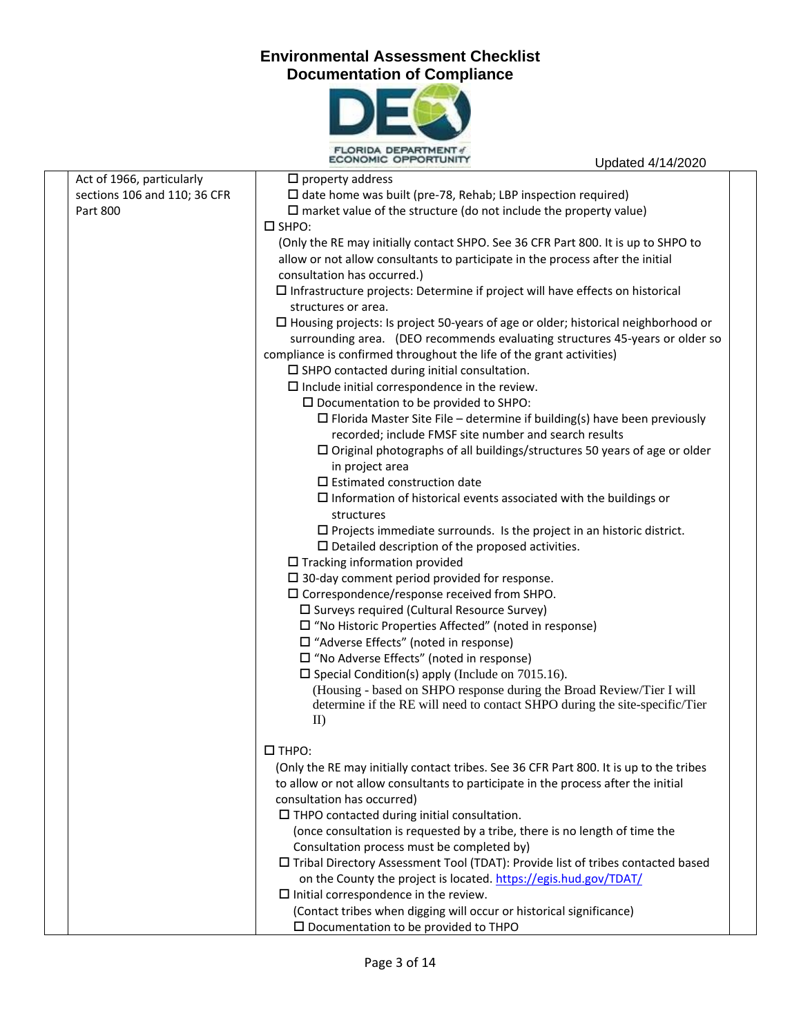

|                              | <b>ECONOMIC OPPORTUNITY</b>                                                                     | Updated 4/14/2020 |  |
|------------------------------|-------------------------------------------------------------------------------------------------|-------------------|--|
| Act of 1966, particularly    | $\square$ property address                                                                      |                   |  |
| sections 106 and 110; 36 CFR | $\square$ date home was built (pre-78, Rehab; LBP inspection required)                          |                   |  |
| Part 800                     | $\square$ market value of the structure (do not include the property value)                     |                   |  |
|                              | $\square$ SHPO:                                                                                 |                   |  |
|                              | (Only the RE may initially contact SHPO. See 36 CFR Part 800. It is up to SHPO to               |                   |  |
|                              | allow or not allow consultants to participate in the process after the initial                  |                   |  |
|                              | consultation has occurred.)                                                                     |                   |  |
|                              | $\square$ Infrastructure projects: Determine if project will have effects on historical         |                   |  |
|                              | structures or area.                                                                             |                   |  |
|                              | $\Box$ Housing projects: Is project 50-years of age or older; historical neighborhood or        |                   |  |
|                              | surrounding area. (DEO recommends evaluating structures 45-years or older so                    |                   |  |
|                              | compliance is confirmed throughout the life of the grant activities)                            |                   |  |
|                              | $\square$ SHPO contacted during initial consultation.                                           |                   |  |
|                              | $\square$ Include initial correspondence in the review.                                         |                   |  |
|                              | $\square$ Documentation to be provided to SHPO:                                                 |                   |  |
|                              | $\Box$ Florida Master Site File – determine if building(s) have been previously                 |                   |  |
|                              | recorded; include FMSF site number and search results                                           |                   |  |
|                              | $\square$ Original photographs of all buildings/structures 50 years of age or older             |                   |  |
|                              | in project area                                                                                 |                   |  |
|                              | $\square$ Estimated construction date                                                           |                   |  |
|                              | $\square$ Information of historical events associated with the buildings or                     |                   |  |
|                              | structures                                                                                      |                   |  |
|                              | $\square$ Projects immediate surrounds. Is the project in an historic district.                 |                   |  |
|                              | $\square$ Detailed description of the proposed activities.                                      |                   |  |
|                              | $\Box$ Tracking information provided                                                            |                   |  |
|                              | $\square$ 30-day comment period provided for response.                                          |                   |  |
|                              | $\square$ Correspondence/response received from SHPO.                                           |                   |  |
|                              | $\square$ Surveys required (Cultural Resource Survey)                                           |                   |  |
|                              | $\Box$ "No Historic Properties Affected" (noted in response)                                    |                   |  |
|                              | $\Box$ "Adverse Effects" (noted in response)<br>$\Box$ "No Adverse Effects" (noted in response) |                   |  |
|                              | $\Box$ Special Condition(s) apply (Include on 7015.16).                                         |                   |  |
|                              | (Housing - based on SHPO response during the Broad Review/Tier I will                           |                   |  |
|                              | determine if the RE will need to contact SHPO during the site-specific/Tier                     |                   |  |
|                              | II)                                                                                             |                   |  |
|                              |                                                                                                 |                   |  |
|                              | $\Box$ THPO:                                                                                    |                   |  |
|                              | (Only the RE may initially contact tribes. See 36 CFR Part 800. It is up to the tribes          |                   |  |
|                              | to allow or not allow consultants to participate in the process after the initial               |                   |  |
|                              | consultation has occurred)                                                                      |                   |  |
|                              | $\Box$ THPO contacted during initial consultation.                                              |                   |  |
|                              | (once consultation is requested by a tribe, there is no length of time the                      |                   |  |
|                              | Consultation process must be completed by)                                                      |                   |  |
|                              | □ Tribal Directory Assessment Tool (TDAT): Provide list of tribes contacted based               |                   |  |
|                              | on the County the project is located. https://egis.hud.gov/TDAT/                                |                   |  |
|                              | $\square$ Initial correspondence in the review.                                                 |                   |  |
|                              | (Contact tribes when digging will occur or historical significance)                             |                   |  |
|                              | $\square$ Documentation to be provided to THPO                                                  |                   |  |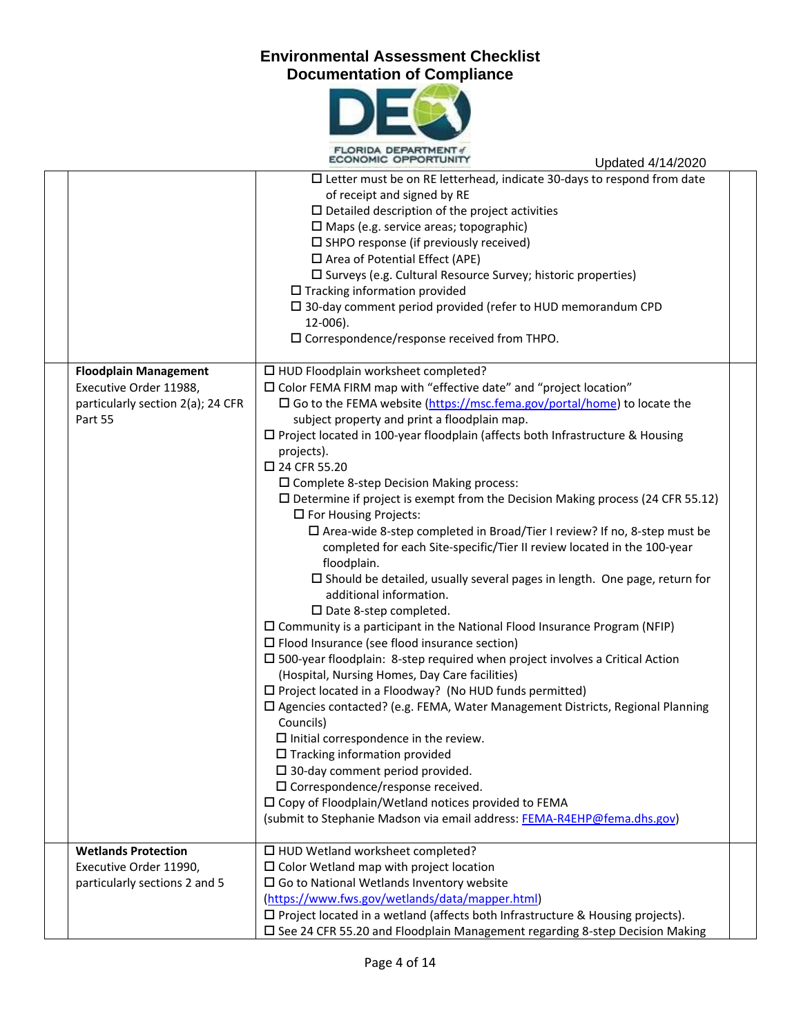

|                                                                                                        | ECONOMIC OPPORTUNITY<br>Updated 4/14/2020                                                                                                                                                                                                                                                                                                                                                                                                                                                                                                                                                                                                                                                                                                                                                                                                                                                                                                                                                                                                                                                                                                                                                                                                                                                                                                                                                                                                                                                                                                                                                                                                                                                                      |  |
|--------------------------------------------------------------------------------------------------------|----------------------------------------------------------------------------------------------------------------------------------------------------------------------------------------------------------------------------------------------------------------------------------------------------------------------------------------------------------------------------------------------------------------------------------------------------------------------------------------------------------------------------------------------------------------------------------------------------------------------------------------------------------------------------------------------------------------------------------------------------------------------------------------------------------------------------------------------------------------------------------------------------------------------------------------------------------------------------------------------------------------------------------------------------------------------------------------------------------------------------------------------------------------------------------------------------------------------------------------------------------------------------------------------------------------------------------------------------------------------------------------------------------------------------------------------------------------------------------------------------------------------------------------------------------------------------------------------------------------------------------------------------------------------------------------------------------------|--|
|                                                                                                        | $\Box$ Letter must be on RE letterhead, indicate 30-days to respond from date<br>of receipt and signed by RE<br>$\square$ Detailed description of the project activities<br>$\square$ Maps (e.g. service areas; topographic)<br>$\square$ SHPO response (if previously received)<br>$\square$ Area of Potential Effect (APE)<br>$\square$ Surveys (e.g. Cultural Resource Survey; historic properties)<br>$\Box$ Tracking information provided<br>$\square$ 30-day comment period provided (refer to HUD memorandum CPD<br>12-006).<br>$\square$ Correspondence/response received from THPO.                                                                                                                                                                                                                                                                                                                                                                                                                                                                                                                                                                                                                                                                                                                                                                                                                                                                                                                                                                                                                                                                                                                   |  |
| <b>Floodplain Management</b><br>Executive Order 11988,<br>particularly section 2(a); 24 CFR<br>Part 55 | □ HUD Floodplain worksheet completed?<br>$\square$ Color FEMA FIRM map with "effective date" and "project location"<br>$\square$ Go to the FEMA website (https://msc.fema.gov/portal/home) to locate the<br>subject property and print a floodplain map.<br>$\square$ Project located in 100-year floodplain (affects both Infrastructure & Housing<br>projects).<br>□ 24 CFR 55.20<br>$\square$ Complete 8-step Decision Making process:<br>$\square$ Determine if project is exempt from the Decision Making process (24 CFR 55.12)<br>$\square$ For Housing Projects:<br>$\Box$ Area-wide 8-step completed in Broad/Tier I review? If no, 8-step must be<br>completed for each Site-specific/Tier II review located in the 100-year<br>floodplain.<br>$\square$ Should be detailed, usually several pages in length. One page, return for<br>additional information.<br>$\square$ Date 8-step completed.<br>$\square$ Community is a participant in the National Flood Insurance Program (NFIP)<br>$\square$ Flood Insurance (see flood insurance section)<br>$\square$ 500-year floodplain: 8-step required when project involves a Critical Action<br>(Hospital, Nursing Homes, Day Care facilities)<br>$\Box$ Project located in a Floodway? (No HUD funds permitted)<br>$\Box$ Agencies contacted? (e.g. FEMA, Water Management Districts, Regional Planning<br>Councils)<br>$\square$ Initial correspondence in the review.<br>$\square$ Tracking information provided<br>$\square$ 30-day comment period provided.<br>$\square$ Correspondence/response received.<br>□ Copy of Floodplain/Wetland notices provided to FEMA<br>(submit to Stephanie Madson via email address: FEMA-R4EHP@fema.dhs.gov) |  |
| <b>Wetlands Protection</b><br>Executive Order 11990,<br>particularly sections 2 and 5                  | □ HUD Wetland worksheet completed?<br>$\square$ Color Wetland map with project location<br>$\square$ Go to National Wetlands Inventory website<br>(https://www.fws.gov/wetlands/data/mapper.html)<br>$\square$ Project located in a wetland (affects both Infrastructure & Housing projects).<br>□ See 24 CFR 55.20 and Floodplain Management regarding 8-step Decision Making                                                                                                                                                                                                                                                                                                                                                                                                                                                                                                                                                                                                                                                                                                                                                                                                                                                                                                                                                                                                                                                                                                                                                                                                                                                                                                                                 |  |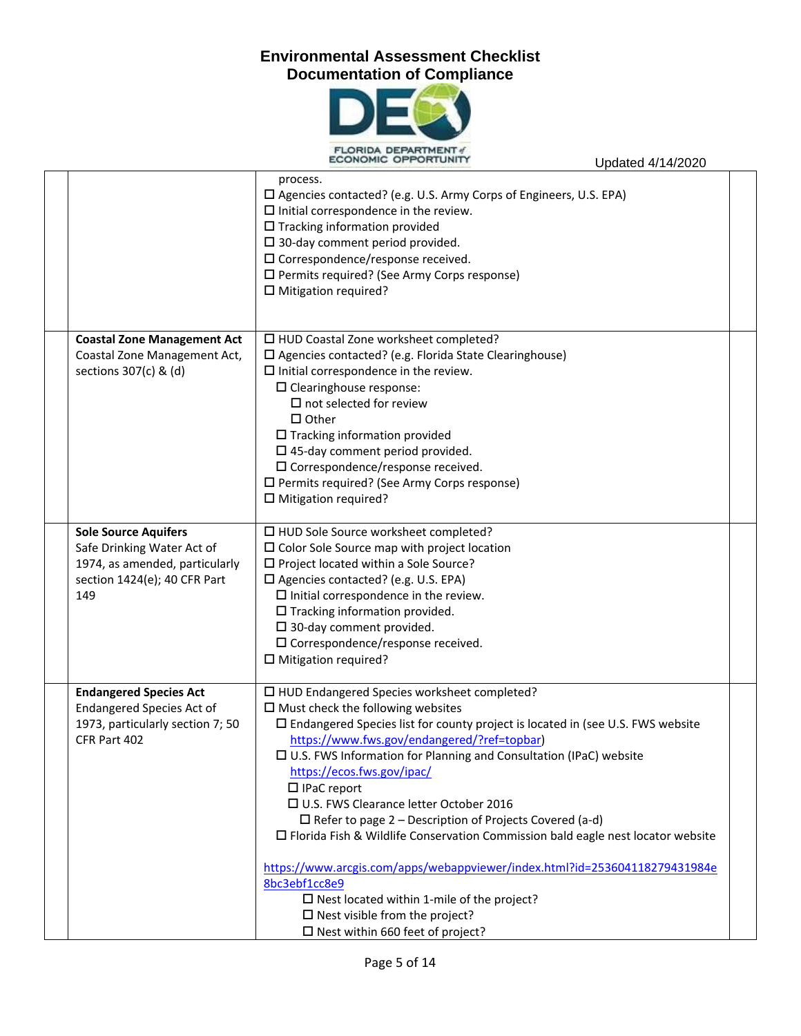

|                                                                                                                                    | ECONOMIC OPPORTUNITY                                                                                                                                                                                                                                                                                                                                                                                                                                                                                                                                                                                                                                                                                                                                                                                                                   | Updated 4/14/2020 |  |
|------------------------------------------------------------------------------------------------------------------------------------|----------------------------------------------------------------------------------------------------------------------------------------------------------------------------------------------------------------------------------------------------------------------------------------------------------------------------------------------------------------------------------------------------------------------------------------------------------------------------------------------------------------------------------------------------------------------------------------------------------------------------------------------------------------------------------------------------------------------------------------------------------------------------------------------------------------------------------------|-------------------|--|
|                                                                                                                                    | process.<br>$\square$ Agencies contacted? (e.g. U.S. Army Corps of Engineers, U.S. EPA)<br>$\square$ Initial correspondence in the review.<br>$\Box$ Tracking information provided<br>$\square$ 30-day comment period provided.<br>$\square$ Correspondence/response received.<br>□ Permits required? (See Army Corps response)<br>$\Box$ Mitigation required?                                                                                                                                                                                                                                                                                                                                                                                                                                                                         |                   |  |
| <b>Coastal Zone Management Act</b><br>Coastal Zone Management Act,<br>sections 307(c) & (d)                                        | □ HUD Coastal Zone worksheet completed?<br>$\square$ Agencies contacted? (e.g. Florida State Clearinghouse)<br>$\square$ Initial correspondence in the review.<br>$\square$ Clearinghouse response:<br>$\square$ not selected for review<br>$\Box$ Other<br>$\Box$ Tracking information provided<br>$\square$ 45-day comment period provided.<br>$\square$ Correspondence/response received.<br>□ Permits required? (See Army Corps response)<br>$\square$ Mitigation required?                                                                                                                                                                                                                                                                                                                                                        |                   |  |
| <b>Sole Source Aquifers</b><br>Safe Drinking Water Act of<br>1974, as amended, particularly<br>section 1424(e); 40 CFR Part<br>149 | □ HUD Sole Source worksheet completed?<br>$\square$ Color Sole Source map with project location<br>$\Box$ Project located within a Sole Source?<br>$\square$ Agencies contacted? (e.g. U.S. EPA)<br>$\square$ Initial correspondence in the review.<br>$\Box$ Tracking information provided.<br>$\square$ 30-day comment provided.<br>$\square$ Correspondence/response received.<br>$\square$ Mitigation required?                                                                                                                                                                                                                                                                                                                                                                                                                    |                   |  |
| <b>Endangered Species Act</b><br><b>Endangered Species Act of</b><br>1973, particularly section 7; 50<br>CFR Part 402              | □ HUD Endangered Species worksheet completed?<br>$\square$ Must check the following websites<br>$\square$ Endangered Species list for county project is located in (see U.S. FWS website<br>https://www.fws.gov/endangered/?ref=topbar)<br>$\square$ U.S. FWS Information for Planning and Consultation (IPaC) website<br>https://ecos.fws.gov/ipac/<br>$\Box$ IPaC report<br>□ U.S. FWS Clearance letter October 2016<br>$\Box$ Refer to page 2 – Description of Projects Covered (a-d)<br>$\square$ Florida Fish & Wildlife Conservation Commission bald eagle nest locator website<br>https://www.arcgis.com/apps/webappviewer/index.html?id=253604118279431984e<br>8bc3ebf1cc8e9<br>$\square$ Nest located within 1-mile of the project?<br>$\square$ Nest visible from the project?<br>$\square$ Nest within 660 feet of project? |                   |  |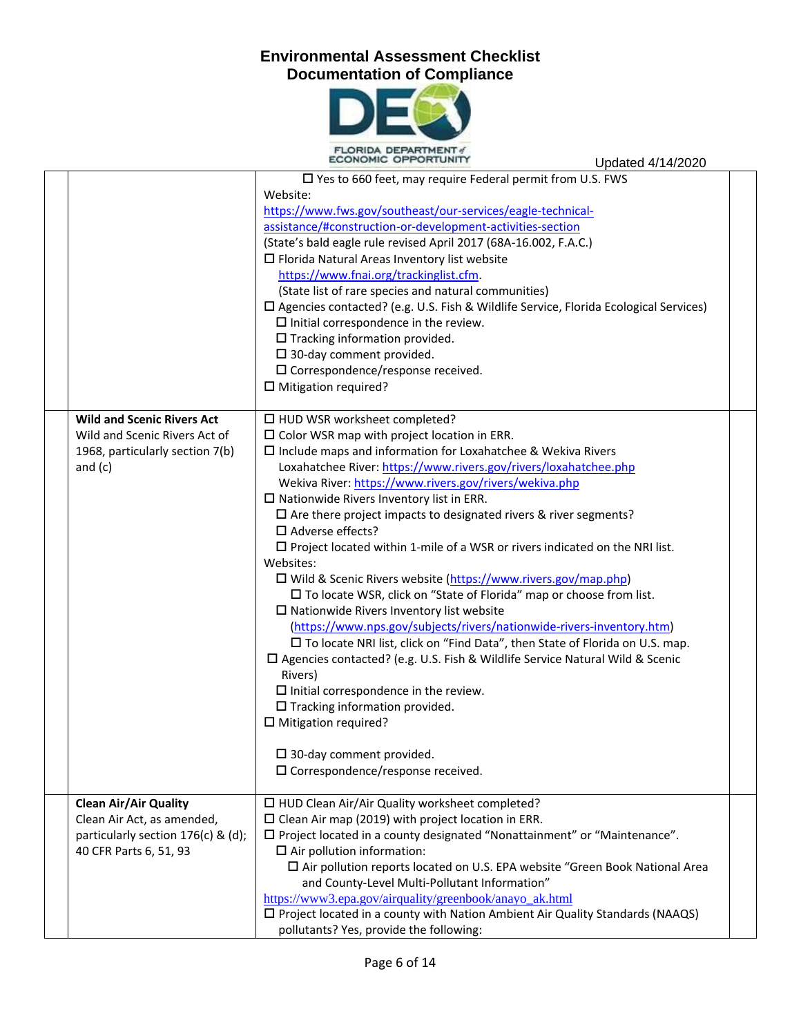

|                                    | ECONOMIC OPPORTUNITY<br>Updated 4/14/2020                                                      |  |
|------------------------------------|------------------------------------------------------------------------------------------------|--|
|                                    | $\square$ Yes to 660 feet, may require Federal permit from U.S. FWS                            |  |
|                                    | Website:                                                                                       |  |
|                                    | https://www.fws.gov/southeast/our-services/eagle-technical-                                    |  |
|                                    | assistance/#construction-or-development-activities-section                                     |  |
|                                    | (State's bald eagle rule revised April 2017 (68A-16.002, F.A.C.)                               |  |
|                                    | $\square$ Florida Natural Areas Inventory list website                                         |  |
|                                    | https://www.fnai.org/trackinglist.cfm.                                                         |  |
|                                    | (State list of rare species and natural communities)                                           |  |
|                                    | $\square$ Agencies contacted? (e.g. U.S. Fish & Wildlife Service, Florida Ecological Services) |  |
|                                    | $\square$ Initial correspondence in the review.                                                |  |
|                                    | $\square$ Tracking information provided.                                                       |  |
|                                    | $\square$ 30-day comment provided.                                                             |  |
|                                    | $\square$ Correspondence/response received.                                                    |  |
|                                    | $\Box$ Mitigation required?                                                                    |  |
|                                    |                                                                                                |  |
| <b>Wild and Scenic Rivers Act</b>  | □ HUD WSR worksheet completed?                                                                 |  |
| Wild and Scenic Rivers Act of      | $\square$ Color WSR map with project location in ERR.                                          |  |
| 1968, particularly section 7(b)    | $\square$ Include maps and information for Loxahatchee & Wekiva Rivers                         |  |
| and $(c)$                          | Loxahatchee River: https://www.rivers.gov/rivers/loxahatchee.php                               |  |
|                                    | Wekiva River: https://www.rivers.gov/rivers/wekiva.php                                         |  |
|                                    | $\square$ Nationwide Rivers Inventory list in ERR.                                             |  |
|                                    | $\Box$ Are there project impacts to designated rivers & river segments?                        |  |
|                                    | $\square$ Adverse effects?                                                                     |  |
|                                    | $\square$ Project located within 1-mile of a WSR or rivers indicated on the NRI list.          |  |
|                                    | Websites:                                                                                      |  |
|                                    | □ Wild & Scenic Rivers website (https://www.rivers.gov/map.php)                                |  |
|                                    | □ To locate WSR, click on "State of Florida" map or choose from list.                          |  |
|                                    | $\square$ Nationwide Rivers Inventory list website                                             |  |
|                                    | (https://www.nps.gov/subjects/rivers/nationwide-rivers-inventory.htm)                          |  |
|                                    | □ To locate NRI list, click on "Find Data", then State of Florida on U.S. map.                 |  |
|                                    | $\square$ Agencies contacted? (e.g. U.S. Fish & Wildlife Service Natural Wild & Scenic         |  |
|                                    | Rivers)                                                                                        |  |
|                                    | $\square$ Initial correspondence in the review.                                                |  |
|                                    | $\Box$ Tracking information provided.                                                          |  |
|                                    | $\Box$ Mitigation required?                                                                    |  |
|                                    |                                                                                                |  |
|                                    | $\square$ 30-day comment provided.                                                             |  |
|                                    | $\square$ Correspondence/response received.                                                    |  |
|                                    |                                                                                                |  |
| <b>Clean Air/Air Quality</b>       | □ HUD Clean Air/Air Quality worksheet completed?                                               |  |
| Clean Air Act, as amended,         | $\square$ Clean Air map (2019) with project location in ERR.                                   |  |
| particularly section 176(c) & (d); | □ Project located in a county designated "Nonattainment" or "Maintenance".                     |  |
| 40 CFR Parts 6, 51, 93             | $\Box$ Air pollution information:                                                              |  |
|                                    | □ Air pollution reports located on U.S. EPA website "Green Book National Area                  |  |
|                                    | and County-Level Multi-Pollutant Information"                                                  |  |
|                                    | https://www3.epa.gov/airquality/greenbook/anayo ak.html                                        |  |
|                                    | $\square$ Project located in a county with Nation Ambient Air Quality Standards (NAAQS)        |  |
|                                    | pollutants? Yes, provide the following:                                                        |  |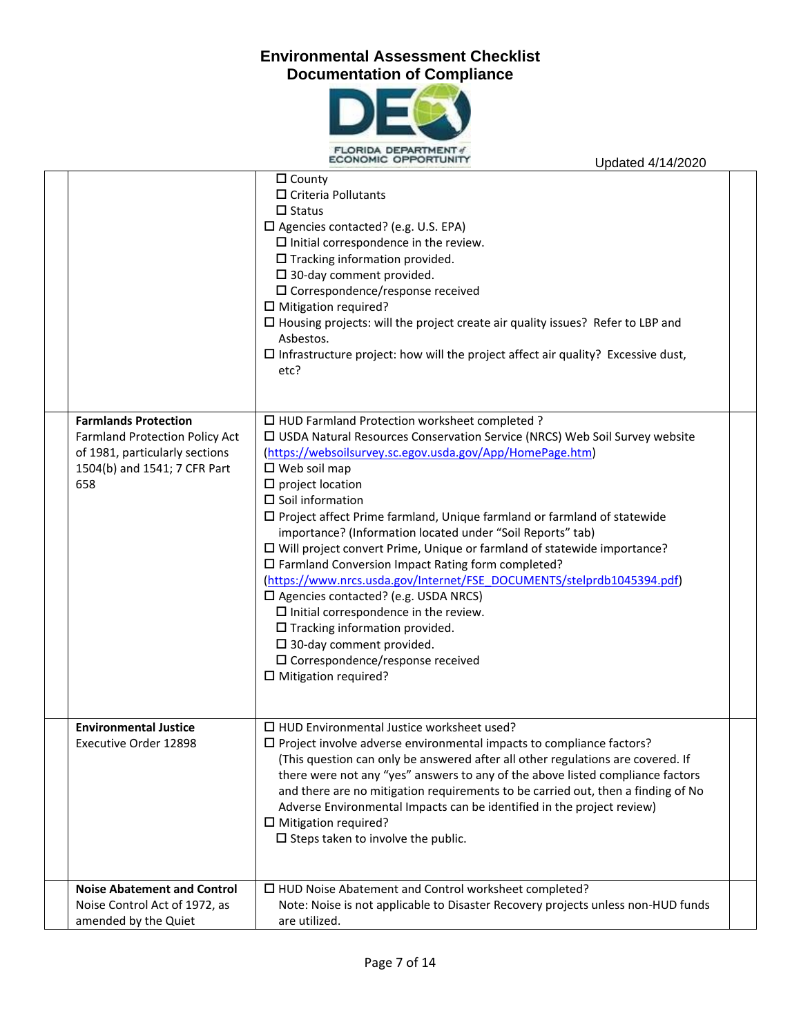

|                                                                                                                                        | <b>ECONOMIC OPPORTUNITY</b>                                                                                                                                                                                                                                                                                                                                                                                                                                                                                                                                                                                                                                                                                                                                                                                                                                                                                                          | Updated 4/14/2020 |  |
|----------------------------------------------------------------------------------------------------------------------------------------|--------------------------------------------------------------------------------------------------------------------------------------------------------------------------------------------------------------------------------------------------------------------------------------------------------------------------------------------------------------------------------------------------------------------------------------------------------------------------------------------------------------------------------------------------------------------------------------------------------------------------------------------------------------------------------------------------------------------------------------------------------------------------------------------------------------------------------------------------------------------------------------------------------------------------------------|-------------------|--|
|                                                                                                                                        | $\Box$ County<br>$\Box$ Criteria Pollutants<br>$\Box$ Status<br>$\square$ Agencies contacted? (e.g. U.S. EPA)<br>$\square$ Initial correspondence in the review.<br>$\Box$ Tracking information provided.<br>$\square$ 30-day comment provided.<br>$\square$ Correspondence/response received<br>$\square$ Mitigation required?<br>$\Box$ Housing projects: will the project create air quality issues? Refer to LBP and<br>Asbestos.<br>$\square$ Infrastructure project: how will the project affect air quality? Excessive dust,<br>etc?                                                                                                                                                                                                                                                                                                                                                                                          |                   |  |
| <b>Farmlands Protection</b><br>Farmland Protection Policy Act<br>of 1981, particularly sections<br>1504(b) and 1541; 7 CFR Part<br>658 | □ HUD Farmland Protection worksheet completed ?<br>□ USDA Natural Resources Conservation Service (NRCS) Web Soil Survey website<br>(https://websoilsurvey.sc.egov.usda.gov/App/HomePage.htm)<br>$\square$ Web soil map<br>$\square$ project location<br>$\square$ Soil information<br>$\square$ Project affect Prime farmland, Unique farmland or farmland of statewide<br>importance? (Information located under "Soil Reports" tab)<br>$\square$ Will project convert Prime, Unique or farmland of statewide importance?<br>$\square$ Farmland Conversion Impact Rating form completed?<br>(https://www.nrcs.usda.gov/Internet/FSE_DOCUMENTS/stelprdb1045394.pdf)<br>$\square$ Agencies contacted? (e.g. USDA NRCS)<br>$\square$ Initial correspondence in the review.<br>$\Box$ Tracking information provided.<br>$\square$ 30-day comment provided.<br>$\square$ Correspondence/response received<br>$\Box$ Mitigation required? |                   |  |
| <b>Environmental Justice</b><br>Executive Order 12898                                                                                  | $\Box$ HUD Environmental Justice worksheet used?<br>$\square$ Project involve adverse environmental impacts to compliance factors?<br>(This question can only be answered after all other regulations are covered. If<br>there were not any "yes" answers to any of the above listed compliance factors<br>and there are no mitigation requirements to be carried out, then a finding of No<br>Adverse Environmental Impacts can be identified in the project review)<br>$\Box$ Mitigation required?<br>$\square$ Steps taken to involve the public.                                                                                                                                                                                                                                                                                                                                                                                 |                   |  |
| <b>Noise Abatement and Control</b><br>Noise Control Act of 1972, as<br>amended by the Quiet                                            | □ HUD Noise Abatement and Control worksheet completed?<br>Note: Noise is not applicable to Disaster Recovery projects unless non-HUD funds<br>are utilized.                                                                                                                                                                                                                                                                                                                                                                                                                                                                                                                                                                                                                                                                                                                                                                          |                   |  |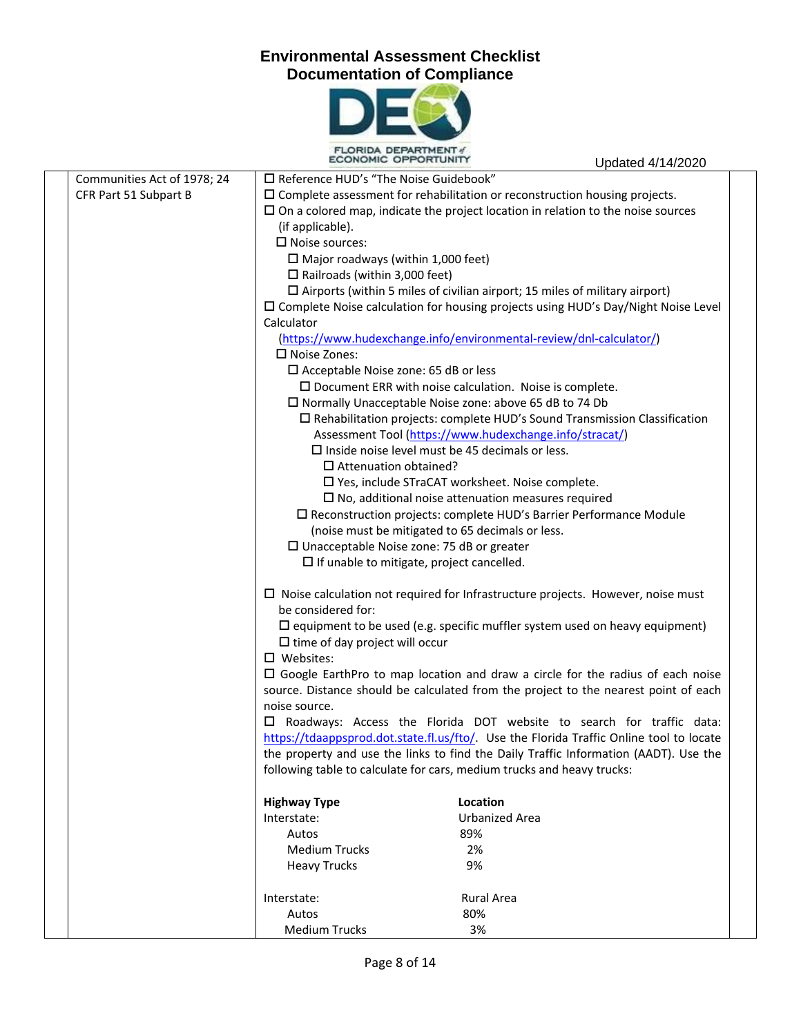

|                             | ECONOMIC OPPORTUNITY                                                   |                                                                     | Updated 4/14/2020                                                                           |  |
|-----------------------------|------------------------------------------------------------------------|---------------------------------------------------------------------|---------------------------------------------------------------------------------------------|--|
| Communities Act of 1978; 24 | □ Reference HUD's "The Noise Guidebook"                                |                                                                     |                                                                                             |  |
| CFR Part 51 Subpart B       |                                                                        |                                                                     | $\square$ Complete assessment for rehabilitation or reconstruction housing projects.        |  |
|                             |                                                                        |                                                                     | $\square$ On a colored map, indicate the project location in relation to the noise sources  |  |
|                             | (if applicable).                                                       |                                                                     |                                                                                             |  |
|                             | $\square$ Noise sources:                                               |                                                                     |                                                                                             |  |
|                             | $\Box$ Major roadways (within 1,000 feet)                              |                                                                     |                                                                                             |  |
|                             | $\Box$ Railroads (within 3,000 feet)                                   |                                                                     |                                                                                             |  |
|                             |                                                                        |                                                                     | $\Box$ Airports (within 5 miles of civilian airport; 15 miles of military airport)          |  |
|                             |                                                                        |                                                                     | $\square$ Complete Noise calculation for housing projects using HUD's Day/Night Noise Level |  |
|                             | Calculator                                                             |                                                                     |                                                                                             |  |
|                             |                                                                        | (https://www.hudexchange.info/environmental-review/dnl-calculator/) |                                                                                             |  |
|                             | $\square$ Noise Zones:                                                 |                                                                     |                                                                                             |  |
|                             | $\square$ Acceptable Noise zone: 65 dB or less                         |                                                                     |                                                                                             |  |
|                             |                                                                        | $\square$ Document ERR with noise calculation. Noise is complete.   |                                                                                             |  |
|                             |                                                                        | $\Box$ Normally Unacceptable Noise zone: above 65 dB to 74 Db       |                                                                                             |  |
|                             |                                                                        |                                                                     | $\square$ Rehabilitation projects: complete HUD's Sound Transmission Classification         |  |
|                             |                                                                        | Assessment Tool (https://www.hudexchange.info/stracat/)             |                                                                                             |  |
|                             |                                                                        | $\Box$ Inside noise level must be 45 decimals or less.              |                                                                                             |  |
|                             | $\Box$ Attenuation obtained?                                           |                                                                     |                                                                                             |  |
|                             |                                                                        | □ Yes, include STraCAT worksheet. Noise complete.                   |                                                                                             |  |
|                             |                                                                        | $\square$ No, additional noise attenuation measures required        |                                                                                             |  |
|                             |                                                                        |                                                                     | □ Reconstruction projects: complete HUD's Barrier Performance Module                        |  |
|                             |                                                                        | (noise must be mitigated to 65 decimals or less.                    |                                                                                             |  |
|                             |                                                                        | $\square$ Unacceptable Noise zone: 75 dB or greater                 |                                                                                             |  |
|                             |                                                                        | $\Box$ If unable to mitigate, project cancelled.                    |                                                                                             |  |
|                             |                                                                        |                                                                     | $\Box$ Noise calculation not required for Infrastructure projects. However, noise must      |  |
|                             | be considered for:                                                     |                                                                     |                                                                                             |  |
|                             |                                                                        |                                                                     | $\square$ equipment to be used (e.g. specific muffler system used on heavy equipment)       |  |
|                             | $\Box$ time of day project will occur                                  |                                                                     |                                                                                             |  |
|                             | $\square$ Websites:                                                    |                                                                     |                                                                                             |  |
|                             |                                                                        |                                                                     | $\Box$ Google EarthPro to map location and draw a circle for the radius of each noise       |  |
|                             |                                                                        |                                                                     | source. Distance should be calculated from the project to the nearest point of each         |  |
|                             | noise source.                                                          |                                                                     |                                                                                             |  |
|                             |                                                                        |                                                                     | Roadways: Access the Florida DOT website to search for traffic data:                        |  |
|                             |                                                                        |                                                                     | https://tdaappsprod.dot.state.fl.us/fto/. Use the Florida Traffic Online tool to locate     |  |
|                             |                                                                        |                                                                     | the property and use the links to find the Daily Traffic Information (AADT). Use the        |  |
|                             | following table to calculate for cars, medium trucks and heavy trucks: |                                                                     |                                                                                             |  |
|                             | <b>Highway Type</b>                                                    | Location                                                            |                                                                                             |  |
|                             | Interstate:                                                            | <b>Urbanized Area</b>                                               |                                                                                             |  |
|                             | Autos                                                                  | 89%                                                                 |                                                                                             |  |
|                             | <b>Medium Trucks</b>                                                   | 2%                                                                  |                                                                                             |  |
|                             | <b>Heavy Trucks</b>                                                    | 9%                                                                  |                                                                                             |  |
|                             | Interstate:                                                            | Rural Area                                                          |                                                                                             |  |
|                             | Autos                                                                  | 80%                                                                 |                                                                                             |  |
|                             | <b>Medium Trucks</b>                                                   | 3%                                                                  |                                                                                             |  |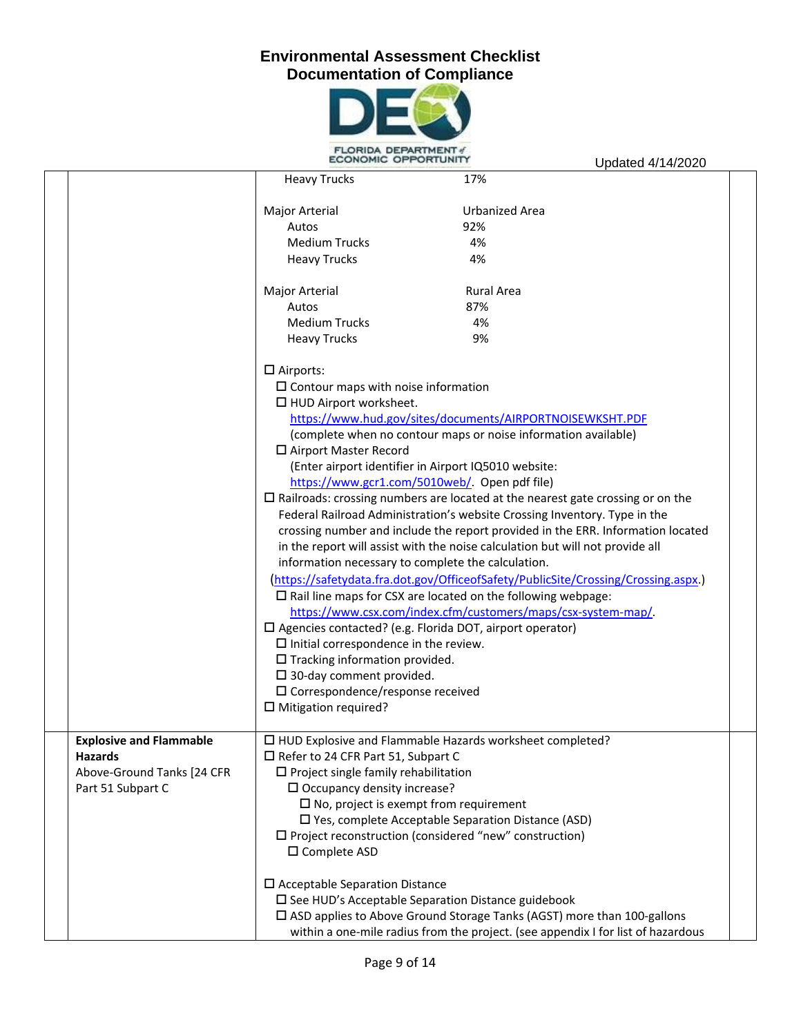

|                                | <b>COLUMN PULLISHERS</b><br><b>ECONOMIC OPPORTUNITY</b>                                  |                                                                | Updated 4/14/2020                                                                  |
|--------------------------------|------------------------------------------------------------------------------------------|----------------------------------------------------------------|------------------------------------------------------------------------------------|
|                                | <b>Heavy Trucks</b>                                                                      | 17%                                                            |                                                                                    |
|                                | Major Arterial                                                                           | Urbanized Area                                                 |                                                                                    |
|                                | Autos                                                                                    | 92%                                                            |                                                                                    |
|                                | <b>Medium Trucks</b>                                                                     | 4%                                                             |                                                                                    |
|                                | <b>Heavy Trucks</b>                                                                      | 4%                                                             |                                                                                    |
|                                |                                                                                          |                                                                |                                                                                    |
|                                | Major Arterial                                                                           | <b>Rural Area</b>                                              |                                                                                    |
|                                | Autos                                                                                    | 87%                                                            |                                                                                    |
|                                | <b>Medium Trucks</b>                                                                     | 4%                                                             |                                                                                    |
|                                | <b>Heavy Trucks</b>                                                                      | 9%                                                             |                                                                                    |
|                                | $\square$ Airports:                                                                      |                                                                |                                                                                    |
|                                | $\square$ Contour maps with noise information                                            |                                                                |                                                                                    |
|                                | $\Box$ HUD Airport worksheet.                                                            |                                                                |                                                                                    |
|                                |                                                                                          | https://www.hud.gov/sites/documents/AIRPORTNOISEWKSHT.PDF      |                                                                                    |
|                                |                                                                                          | (complete when no contour maps or noise information available) |                                                                                    |
|                                | □ Airport Master Record                                                                  |                                                                |                                                                                    |
|                                |                                                                                          | (Enter airport identifier in Airport IQ5010 website:           |                                                                                    |
|                                |                                                                                          | https://www.gcr1.com/5010web/ Open pdf file)                   |                                                                                    |
|                                | $\square$ Railroads: crossing numbers are located at the nearest gate crossing or on the |                                                                |                                                                                    |
|                                | Federal Railroad Administration's website Crossing Inventory. Type in the                |                                                                |                                                                                    |
|                                |                                                                                          |                                                                | crossing number and include the report provided in the ERR. Information located    |
|                                | in the report will assist with the noise calculation but will not provide all            |                                                                |                                                                                    |
|                                | information necessary to complete the calculation.                                       |                                                                |                                                                                    |
|                                |                                                                                          |                                                                | (https://safetydata.fra.dot.gov/OfficeofSafety/PublicSite/Crossing/Crossing.aspx.) |
|                                | $\square$ Rail line maps for CSX are located on the following webpage:                   |                                                                |                                                                                    |
|                                |                                                                                          | https://www.csx.com/index.cfm/customers/maps/csx-system-map/.  |                                                                                    |
|                                | $\square$ Agencies contacted? (e.g. Florida DOT, airport operator)                       |                                                                |                                                                                    |
|                                | $\square$ Initial correspondence in the review.                                          |                                                                |                                                                                    |
|                                | $\Box$ Tracking information provided.                                                    |                                                                |                                                                                    |
|                                | $\square$ 30-day comment provided.                                                       |                                                                |                                                                                    |
|                                | $\square$ Correspondence/response received                                               |                                                                |                                                                                    |
|                                | $\Box$ Mitigation required?                                                              |                                                                |                                                                                    |
|                                |                                                                                          |                                                                |                                                                                    |
| <b>Explosive and Flammable</b> | □ HUD Explosive and Flammable Hazards worksheet completed?                               |                                                                |                                                                                    |
| <b>Hazards</b>                 | □ Refer to 24 CFR Part 51, Subpart C                                                     |                                                                |                                                                                    |
| Above-Ground Tanks [24 CFR     | $\Box$ Project single family rehabilitation                                              |                                                                |                                                                                    |
| Part 51 Subpart C              | $\square$ Occupancy density increase?                                                    |                                                                |                                                                                    |
|                                | $\square$ No, project is exempt from requirement                                         | $\square$ Yes, complete Acceptable Separation Distance (ASD)   |                                                                                    |
|                                | $\square$ Project reconstruction (considered "new" construction)                         |                                                                |                                                                                    |
|                                |                                                                                          |                                                                |                                                                                    |
|                                | □ Complete ASD                                                                           |                                                                |                                                                                    |
|                                | $\square$ Acceptable Separation Distance                                                 |                                                                |                                                                                    |
|                                | $\square$ See HUD's Acceptable Separation Distance guidebook                             |                                                                |                                                                                    |
|                                | □ ASD applies to Above Ground Storage Tanks (AGST) more than 100-gallons                 |                                                                |                                                                                    |
|                                |                                                                                          |                                                                | within a one-mile radius from the project. (see appendix I for list of hazardous   |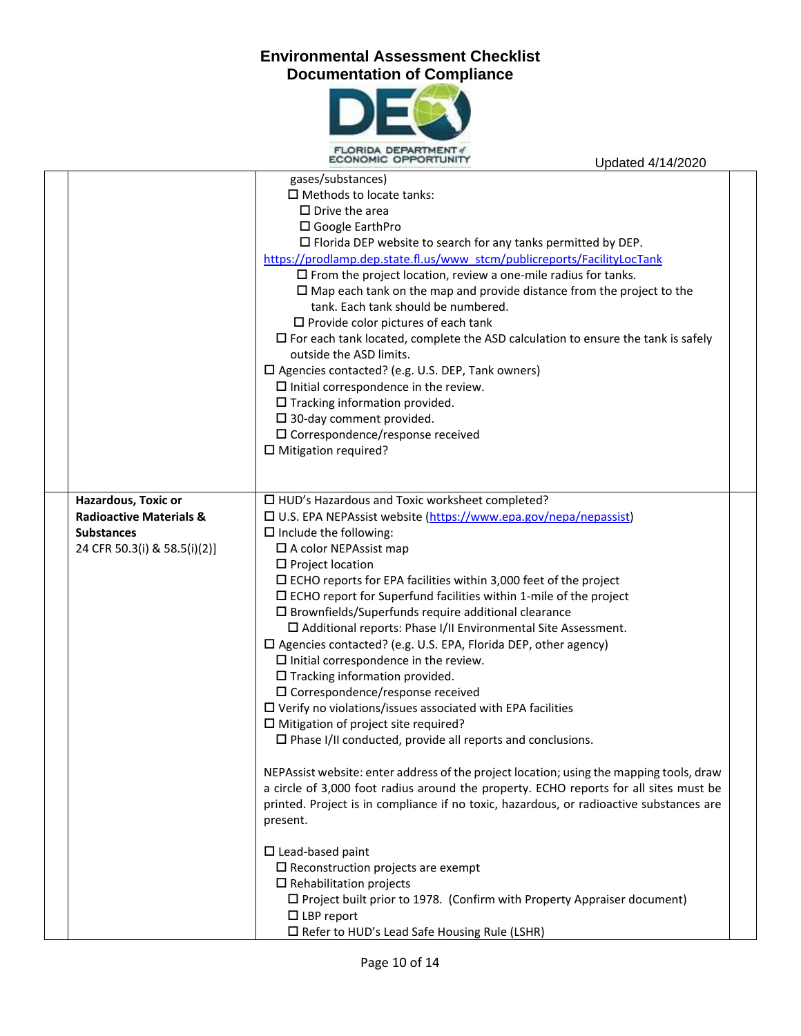

|                                                                                                                | ECONOMIC OPPORTUNITY<br>Updated 4/14/2020                                                                                                                                                                                                                                                                                                                                                                                                                                                                                                                                                                                                                                                                                                                                                                                                                                                                                                                                                                                                                                                                                                                                                                                                                                                                                                                                                                                                                                                                 |  |
|----------------------------------------------------------------------------------------------------------------|-----------------------------------------------------------------------------------------------------------------------------------------------------------------------------------------------------------------------------------------------------------------------------------------------------------------------------------------------------------------------------------------------------------------------------------------------------------------------------------------------------------------------------------------------------------------------------------------------------------------------------------------------------------------------------------------------------------------------------------------------------------------------------------------------------------------------------------------------------------------------------------------------------------------------------------------------------------------------------------------------------------------------------------------------------------------------------------------------------------------------------------------------------------------------------------------------------------------------------------------------------------------------------------------------------------------------------------------------------------------------------------------------------------------------------------------------------------------------------------------------------------|--|
|                                                                                                                | gases/substances)<br>$\Box$ Methods to locate tanks:<br>$\Box$ Drive the area<br>□ Google EarthPro<br>$\Box$ Florida DEP website to search for any tanks permitted by DEP.<br>https://prodlamp.dep.state.fl.us/www_stcm/publicreports/FacilityLocTank<br>$\square$ From the project location, review a one-mile radius for tanks.<br>$\Box$ Map each tank on the map and provide distance from the project to the<br>tank. Each tank should be numbered.<br>$\square$ Provide color pictures of each tank<br>$\Box$ For each tank located, complete the ASD calculation to ensure the tank is safely<br>outside the ASD limits.<br>$\square$ Agencies contacted? (e.g. U.S. DEP, Tank owners)<br>$\square$ Initial correspondence in the review.<br>$\Box$ Tracking information provided.<br>$\square$ 30-day comment provided.<br>$\square$ Correspondence/response received<br>$\square$ Mitigation required?                                                                                                                                                                                                                                                                                                                                                                                                                                                                                                                                                                                           |  |
| Hazardous, Toxic or<br><b>Radioactive Materials &amp;</b><br><b>Substances</b><br>24 CFR 50.3(i) & 58.5(i)(2)] | □ HUD's Hazardous and Toxic worksheet completed?<br>□ U.S. EPA NEPAssist website (https://www.epa.gov/nepa/nepassist)<br>$\Box$ Include the following:<br>□ A color NEPAssist map<br>$\Box$ Project location<br>$\Box$ ECHO reports for EPA facilities within 3,000 feet of the project<br>$\Box$ ECHO report for Superfund facilities within 1-mile of the project<br>$\square$ Brownfields/Superfunds require additional clearance<br>$\square$ Additional reports: Phase I/II Environmental Site Assessment.<br>□ Agencies contacted? (e.g. U.S. EPA, Florida DEP, other agency)<br>$\square$ Initial correspondence in the review.<br>$\square$ Tracking information provided.<br>$\square$ Correspondence/response received<br>$\square$ Verify no violations/issues associated with EPA facilities<br>$\square$ Mitigation of project site required?<br>$\square$ Phase I/II conducted, provide all reports and conclusions.<br>NEPAssist website: enter address of the project location; using the mapping tools, draw<br>a circle of 3,000 foot radius around the property. ECHO reports for all sites must be<br>printed. Project is in compliance if no toxic, hazardous, or radioactive substances are<br>present.<br>$\square$ Lead-based paint<br>$\square$ Reconstruction projects are exempt<br>$\Box$ Rehabilitation projects<br>$\square$ Project built prior to 1978. (Confirm with Property Appraiser document)<br>$\Box$ LBP report<br>□ Refer to HUD's Lead Safe Housing Rule (LSHR) |  |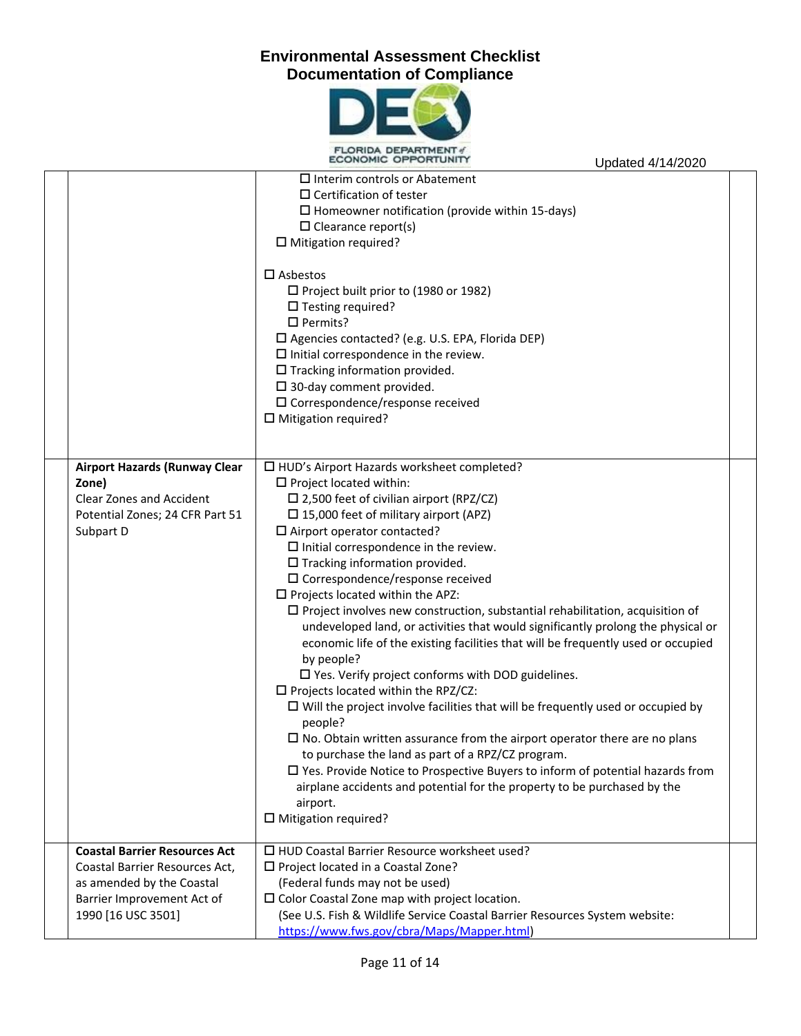

|                                                                                                                                                         | ECONOMIC OPPORTUNITY                                                                                                                                                                                                                                                                                                                                                                                                                                                                                                                                                                                                                                                                                                                                                                                                                                                                                                                                                                                                                                                                                                                                                                                                                                                                   | Updated 4/14/2020 |  |
|---------------------------------------------------------------------------------------------------------------------------------------------------------|----------------------------------------------------------------------------------------------------------------------------------------------------------------------------------------------------------------------------------------------------------------------------------------------------------------------------------------------------------------------------------------------------------------------------------------------------------------------------------------------------------------------------------------------------------------------------------------------------------------------------------------------------------------------------------------------------------------------------------------------------------------------------------------------------------------------------------------------------------------------------------------------------------------------------------------------------------------------------------------------------------------------------------------------------------------------------------------------------------------------------------------------------------------------------------------------------------------------------------------------------------------------------------------|-------------------|--|
|                                                                                                                                                         | $\Box$ Interim controls or Abatement<br>$\Box$ Certification of tester<br>$\Box$ Homeowner notification (provide within 15-days)<br>$\Box$ Clearance report(s)<br>$\square$ Mitigation required?<br>$\square$ Asbestos<br>$\Box$ Project built prior to (1980 or 1982)<br>$\Box$ Testing required?<br>$\Box$ Permits?<br>$\square$ Agencies contacted? (e.g. U.S. EPA, Florida DEP)<br>$\square$ Initial correspondence in the review.<br>$\Box$ Tracking information provided.<br>$\square$ 30-day comment provided.<br>$\square$ Correspondence/response received<br>$\square$ Mitigation required?                                                                                                                                                                                                                                                                                                                                                                                                                                                                                                                                                                                                                                                                                  |                   |  |
| <b>Airport Hazards (Runway Clear</b><br>Zone)<br><b>Clear Zones and Accident</b><br>Potential Zones; 24 CFR Part 51<br>Subpart D                        | □ HUD's Airport Hazards worksheet completed?<br>$\Box$ Project located within:<br>$\square$ 2,500 feet of civilian airport (RPZ/CZ)<br>$\Box$ 15,000 feet of military airport (APZ)<br>$\Box$ Airport operator contacted?<br>$\square$ Initial correspondence in the review.<br>$\Box$ Tracking information provided.<br>$\square$ Correspondence/response received<br>$\square$ Projects located within the APZ:<br>$\Box$ Project involves new construction, substantial rehabilitation, acquisition of<br>undeveloped land, or activities that would significantly prolong the physical or<br>economic life of the existing facilities that will be frequently used or occupied<br>by people?<br>$\square$ Yes. Verify project conforms with DOD guidelines.<br>$\square$ Projects located within the RPZ/CZ:<br>$\Box$ Will the project involve facilities that will be frequently used or occupied by<br>people?<br>$\square$ No. Obtain written assurance from the airport operator there are no plans<br>to purchase the land as part of a RPZ/CZ program.<br>$\square$ Yes. Provide Notice to Prospective Buyers to inform of potential hazards from<br>airplane accidents and potential for the property to be purchased by the<br>airport.<br>$\square$ Mitigation required? |                   |  |
| <b>Coastal Barrier Resources Act</b><br>Coastal Barrier Resources Act,<br>as amended by the Coastal<br>Barrier Improvement Act of<br>1990 [16 USC 3501] | $\Box$ HUD Coastal Barrier Resource worksheet used?<br>$\square$ Project located in a Coastal Zone?<br>(Federal funds may not be used)<br>$\square$ Color Coastal Zone map with project location.<br>(See U.S. Fish & Wildlife Service Coastal Barrier Resources System website:<br>https://www.fws.gov/cbra/Maps/Mapper.html)                                                                                                                                                                                                                                                                                                                                                                                                                                                                                                                                                                                                                                                                                                                                                                                                                                                                                                                                                         |                   |  |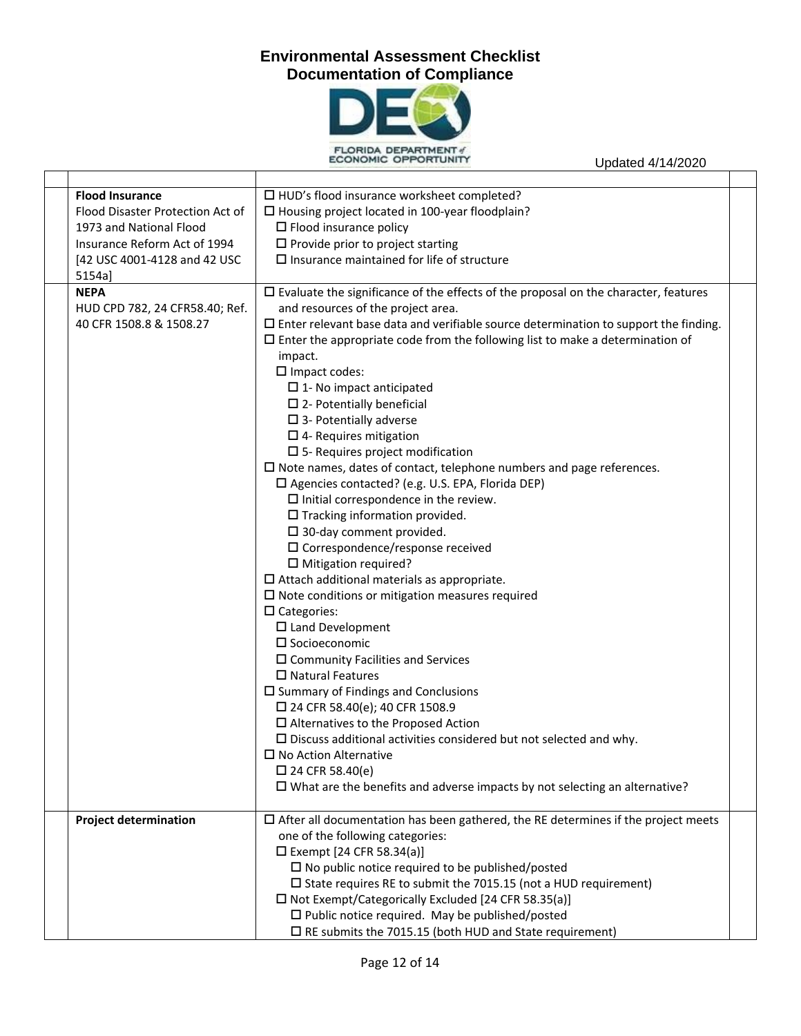

Updated 4/14/2020

| <b>Flood Insurance</b>           | $\Box$ HUD's flood insurance worksheet completed?                                              |  |
|----------------------------------|------------------------------------------------------------------------------------------------|--|
| Flood Disaster Protection Act of | □ Housing project located in 100-year floodplain?                                              |  |
| 1973 and National Flood          | $\Box$ Flood insurance policy                                                                  |  |
| Insurance Reform Act of 1994     | $\Box$ Provide prior to project starting                                                       |  |
| [42 USC 4001-4128 and 42 USC     | $\square$ Insurance maintained for life of structure                                           |  |
| 5154a]                           |                                                                                                |  |
| <b>NEPA</b>                      | $\square$ Evaluate the significance of the effects of the proposal on the character, features  |  |
| HUD CPD 782, 24 CFR58.40; Ref.   | and resources of the project area.                                                             |  |
| 40 CFR 1508.8 & 1508.27          | $\square$ Enter relevant base data and verifiable source determination to support the finding. |  |
|                                  | $\Box$ Enter the appropriate code from the following list to make a determination of           |  |
|                                  | impact.                                                                                        |  |
|                                  | $\Box$ Impact codes:                                                                           |  |
|                                  | $\square$ 1- No impact anticipated                                                             |  |
|                                  | $\square$ 2- Potentially beneficial                                                            |  |
|                                  | $\square$ 3- Potentially adverse                                                               |  |
|                                  | $\square$ 4- Requires mitigation                                                               |  |
|                                  | $\square$ 5- Requires project modification                                                     |  |
|                                  | $\square$ Note names, dates of contact, telephone numbers and page references.                 |  |
|                                  | □ Agencies contacted? (e.g. U.S. EPA, Florida DEP)                                             |  |
|                                  | $\square$ Initial correspondence in the review.                                                |  |
|                                  | $\square$ Tracking information provided.                                                       |  |
|                                  | $\square$ 30-day comment provided.                                                             |  |
|                                  | $\square$ Correspondence/response received                                                     |  |
|                                  | $\square$ Mitigation required?                                                                 |  |
|                                  | $\square$ Attach additional materials as appropriate.                                          |  |
|                                  | $\square$ Note conditions or mitigation measures required                                      |  |
|                                  | $\square$ Categories:                                                                          |  |
|                                  | $\square$ Land Development                                                                     |  |
|                                  | $\square$ Socioeconomic                                                                        |  |
|                                  | $\square$ Community Facilities and Services                                                    |  |
|                                  | $\Box$ Natural Features                                                                        |  |
|                                  | $\square$ Summary of Findings and Conclusions                                                  |  |
|                                  | □ 24 CFR 58.40(e); 40 CFR 1508.9                                                               |  |
|                                  | $\square$ Alternatives to the Proposed Action                                                  |  |
|                                  | $\square$ Discuss additional activities considered but not selected and why.                   |  |
|                                  | $\Box$ No Action Alternative                                                                   |  |
|                                  | $\Box$ 24 CFR 58.40(e)                                                                         |  |
|                                  | $\square$ What are the benefits and adverse impacts by not selecting an alternative?           |  |
| <b>Project determination</b>     | $\square$ After all documentation has been gathered, the RE determines if the project meets    |  |
|                                  | one of the following categories:                                                               |  |
|                                  | $\square$ Exempt [24 CFR 58.34(a)]                                                             |  |
|                                  | $\square$ No public notice required to be published/posted                                     |  |
|                                  | $\square$ State requires RE to submit the 7015.15 (not a HUD requirement)                      |  |
|                                  | $\Box$ Not Exempt/Categorically Excluded [24 CFR 58.35(a)]                                     |  |
|                                  | $\Box$ Public notice required. May be published/posted                                         |  |
|                                  | $\square$ RE submits the 7015.15 (both HUD and State requirement)                              |  |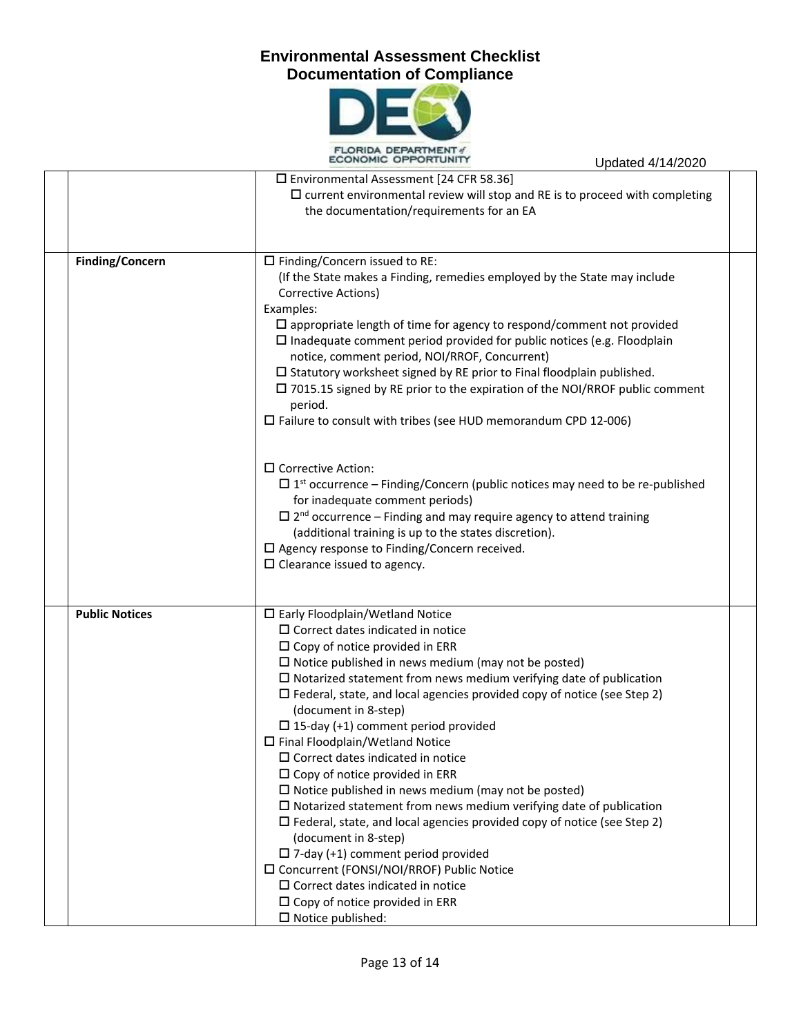

|                       | <b>ECONOMIC OPPORTUNITY</b><br>Updated 4/14/2020                                                                                                                                                                                                                                                                                                                                                                                                                                                                                                                                                                                                                                                                                                                                                                                                                                                                                                                                                                                                                |
|-----------------------|-----------------------------------------------------------------------------------------------------------------------------------------------------------------------------------------------------------------------------------------------------------------------------------------------------------------------------------------------------------------------------------------------------------------------------------------------------------------------------------------------------------------------------------------------------------------------------------------------------------------------------------------------------------------------------------------------------------------------------------------------------------------------------------------------------------------------------------------------------------------------------------------------------------------------------------------------------------------------------------------------------------------------------------------------------------------|
|                       | $\square$ Environmental Assessment [24 CFR 58.36]<br>$\square$ current environmental review will stop and RE is to proceed with completing<br>the documentation/requirements for an EA                                                                                                                                                                                                                                                                                                                                                                                                                                                                                                                                                                                                                                                                                                                                                                                                                                                                          |
| Finding/Concern       | $\Box$ Finding/Concern issued to RE:<br>(If the State makes a Finding, remedies employed by the State may include<br>Corrective Actions)<br>Examples:<br>$\square$ appropriate length of time for agency to respond/comment not provided<br>$\Box$ Inadequate comment period provided for public notices (e.g. Floodplain<br>notice, comment period, NOI/RROF, Concurrent)<br>$\square$ Statutory worksheet signed by RE prior to Final floodplain published.<br>$\square$ 7015.15 signed by RE prior to the expiration of the NOI/RROF public comment<br>period.<br>$\Box$ Failure to consult with tribes (see HUD memorandum CPD 12-006)<br>$\Box$ Corrective Action:<br>$\Box$ 1 <sup>st</sup> occurrence – Finding/Concern (public notices may need to be re-published<br>for inadequate comment periods)<br>$\Box$ 2 <sup>nd</sup> occurrence – Finding and may require agency to attend training<br>(additional training is up to the states discretion).<br>$\square$ Agency response to Finding/Concern received.<br>$\Box$ Clearance issued to agency. |
| <b>Public Notices</b> | $\square$ Early Floodplain/Wetland Notice<br>$\Box$ Correct dates indicated in notice<br>$\Box$ Copy of notice provided in ERR<br>$\Box$ Notice published in news medium (may not be posted)<br>$\square$ Notarized statement from news medium verifying date of publication<br>$\square$ Federal, state, and local agencies provided copy of notice (see Step 2)<br>(document in 8-step)<br>$\Box$ 15-day (+1) comment period provided<br>□ Final Floodplain/Wetland Notice<br>$\Box$ Correct dates indicated in notice<br>$\Box$ Copy of notice provided in ERR<br>$\Box$ Notice published in news medium (may not be posted)<br>$\square$ Notarized statement from news medium verifying date of publication<br>$\Box$ Federal, state, and local agencies provided copy of notice (see Step 2)<br>(document in 8-step)<br>$\Box$ 7-day (+1) comment period provided<br>□ Concurrent (FONSI/NOI/RROF) Public Notice<br>$\square$ Correct dates indicated in notice<br>$\Box$ Copy of notice provided in ERR<br>$\Box$ Notice published:                       |